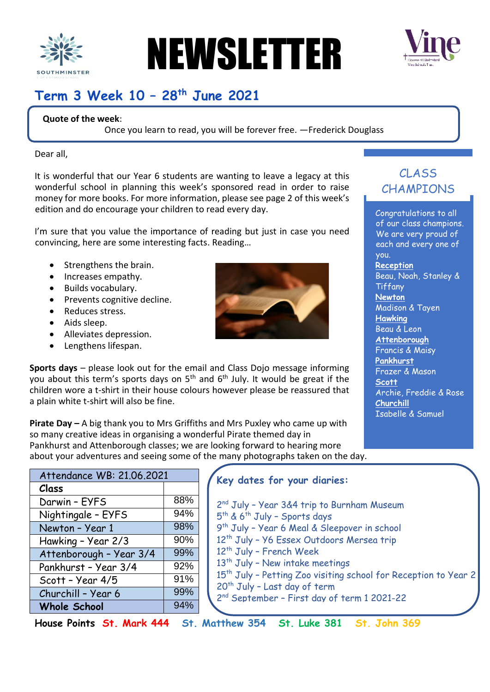

# NEWSLETTER



# **Term 3 Week 10 – 28 th June 2021**

#### **Quote of the week**:

Once you learn to read, you will be forever free. —Frederick Douglass

Dear all,

It is wonderful that our Year 6 students are wanting to leave a legacy at this wonderful school in planning this week's sponsored read in order to raise money for more books. For more information, please see page 2 of this week's edition and do encourage your children to read every day.

I'm sure that you value the importance of reading but just in case you need convincing, here are some interesting facts. Reading…

- Strengthens the brain.
- Increases empathy.
- Builds vocabulary.
- Prevents cognitive decline.
- Reduces stress.
- Aids sleep.
- Alleviates depression.
- Lengthens lifespan.



**Sports days** – please look out for the email and Class Dojo message informing you about this term's sports days on  $5<sup>th</sup>$  and  $6<sup>th</sup>$  July. It would be great if the children wore a t-shirt in their house colours however please be reassured that a plain white t-shirt will also be fine.

**Pirate Day –** A big thank you to Mrs Griffiths and Mrs Puxley who came up with so many creative ideas in organising a wonderful Pirate themed day in Pankhurst and Attenborough classes; we are looking forward to hearing more about your adventures and seeing some of the many photographs taken on the day.

| Attendance WB: 21.06.2021 |     |
|---------------------------|-----|
| Class                     |     |
| Darwin - EYFS             | 88% |
| Nightingale - EYFS        | 94% |
| Newton - Year 1           | 98% |
| Hawking - Year 2/3        | 90% |
| Attenborough - Year 3/4   | 99% |
| Pankhurst - Year 3/4      | 92% |
| Scott - Year 4/5          | 91% |
| Churchill - Year 6        | 99% |
| <b>Whole School</b>       | 94% |
|                           |     |

#### **Key dates for your diaries:**

2 nd July – Year 3&4 trip to Burnham Museum 5<sup>th</sup> & 6<sup>th</sup> July - Sports days 9 th July – Year 6 Meal & Sleepover in school 12<sup>th</sup> July - Y6 Essex Outdoors Mersea trip 12th July – French Week 13<sup>th</sup> July - New intake meetings 15<sup>th</sup> July - Petting Zoo visiting school for Reception to Year 2  $20<sup>th</sup>$  July - Last day of term 2 nd September – First day of term 1 2021-22

**House Points St. Mark 444 St. Matthew 354 St. Luke 381 St. John 369**

### CLASS CHAMPIONS

Congratulations to all of our class champions. We are very proud of each and every one of you. **Reception** Beau, Noah, Stanley & **Tiffany Newton** Madison & Tayen **Hawking** Beau & Leon **Attenborough** Francis & Maisy **Pankhurst** Frazer & Mason **Scott** Archie, Freddie & Rose **Churchill** Isabelle & Samuel